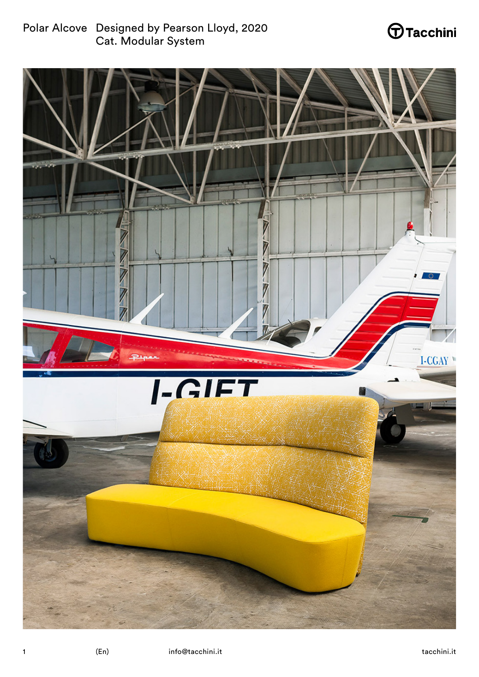Polar Alcove Designed by Pearson Lloyd, 2020 Cat. Modular System

# $\bigoplus$ Tacchini

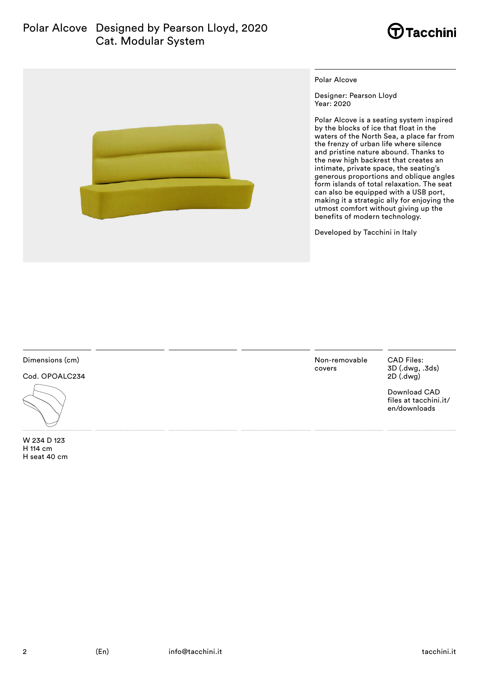### Polar Alcove Designed by Pearson Lloyd, 2020 Cat. Modular System





Polar Alcove

Designer: Pearson Lloyd Year: 2020

Polar Alcove is a seating system inspired by the blocks of ice that float in the waters of the North Sea, a place far from the frenzy of urban life where silence and pristine nature abound. Thanks to the new high backrest that creates an intimate, private space, the seating's generous proportions and oblique angles form islands of total relaxation. The seat can also be equipped with a USB port, making it a strategic ally for enjoying the utmost comfort without giving up the benefits of modern technology.

Developed by Tacchini in Italy

Dimensions (cm)

Cod. OPOALC234



W 234 D 123 H 114 cm H seat 40 cm Non-removable covers

CAD Files: 3D (.dwg, .3ds) 2D (.dwg)

Download CAD files at tacchini.it/ en/downloads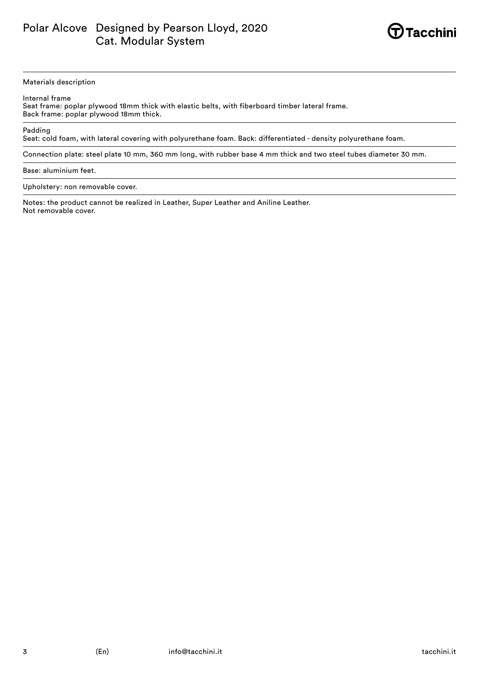

#### Materials description

Internal frame

Seat frame: poplar plywood 18mm thick with elastic belts, with fiberboard timber lateral frame. Back frame: poplar plywood 18mm thick.

Padding

Seat: cold foam, with lateral covering with polyurethane foam. Back: differentiated - density polyurethane foam.

Connection plate: steel plate 10 mm, 360 mm long, with rubber base 4 mm thick and two steel tubes diameter 30 mm.

Base: aluminium feet.

Upholstery: non removable cover.

Notes: the product cannot be realized in Leather, Super Leather and Aniline Leather. Not removable cover.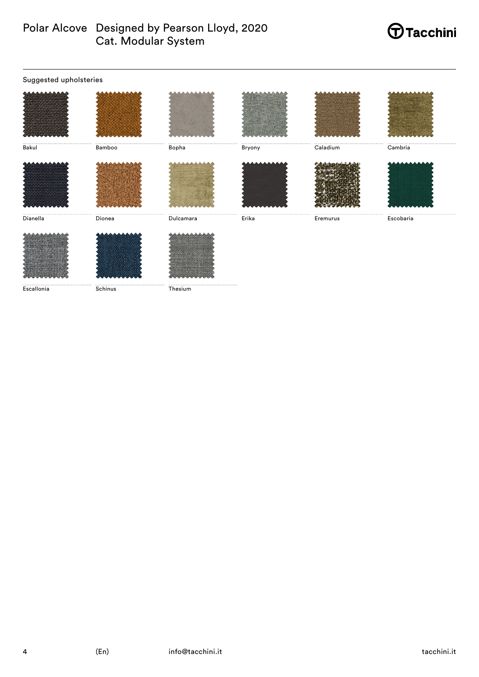# Polar Alcove Designed by Pearson Lloyd, 2020<br>Cat. Modular System

## **Tacchini**

| Suggested upholsteries |                        |           |        |              |           |  |  |
|------------------------|------------------------|-----------|--------|--------------|-----------|--|--|
|                        |                        |           |        |              |           |  |  |
| <br>Bakul              | <br><br>Bamboo         | <br>Bopha | Bryony | Caladium<br> | Cambria   |  |  |
|                        |                        |           |        |              |           |  |  |
| Dianella               | Dionea                 | Dulcamara | Erika  | Eremurus     | Escobaria |  |  |
|                        |                        |           |        |              |           |  |  |
| Escallonia             | 1.1.1.1.1.1<br>Schinus | Thesium   |        |              |           |  |  |

 $\overline{\mathbf{4}}$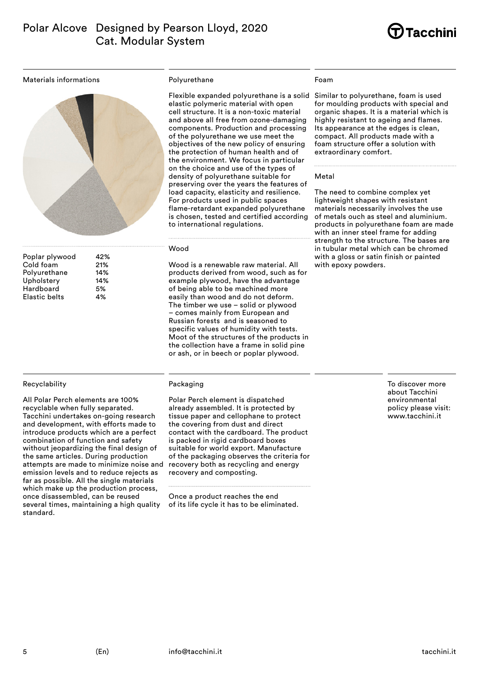

Materials informations



| Poplar plywood       | 42% |
|----------------------|-----|
| Cold foam            | 21% |
| Polyurethane         | 14% |
| Upholstery           | 14% |
| Hardboard            | 5%  |
| <b>Elastic belts</b> | 4%  |
|                      |     |

#### Recyclability

All Polar Perch elements are 100% recyclable when fully separated. Tacchini undertakes on-going research and development, with efforts made to introduce products which are a perfect combination of function and safety without jeopardizing the final design of the same articles. During production attempts are made to minimize noise and emission levels and to reduce rejects as far as possible. All the single materials which make up the production process, once disassembled, can be reused several times, maintaining a high quality standard.

#### Polyurethane

Flexible expanded polyurethane is a solid Similar to polyurethane, foam is used elastic polymeric material with open cell structure. It is a non-toxic material and above all free from ozone-damaging components. Production and processing of the polyurethane we use meet the objectives of the new policy of ensuring the protection of human health and of the environment. We focus in particular on the choice and use of the types of density of polyurethane suitable for preserving over the years the features of load capacity, elasticity and resilience. For products used in public spaces flame-retardant expanded polyurethane is chosen, tested and certified according to international regulations.

#### Wood

Wood is a renewable raw material. All products derived from wood, such as for example plywood, have the advantage of being able to be machined more easily than wood and do not deform. The timber we use – solid or plywood – comes mainly from European and Russian forests and is seasoned to specific values of humidity with tests. Moot of the structures of the products in the collection have a frame in solid pine or ash, or in beech or poplar plywood.

#### Packaging

Polar Perch element is dispatched already assembled. It is protected by tissue paper and cellophane to protect the covering from dust and direct contact with the cardboard. The product is packed in rigid cardboard boxes suitable for world export. Manufacture of the packaging observes the criteria for recovery both as recycling and energy recovery and composting.

Once a product reaches the end of its life cycle it has to be eliminated.

#### Foam

for moulding products with special and organic shapes. It is a material which is highly resistant to ageing and flames. Its appearance at the edges is clean, compact. All products made with a foam structure offer a solution with extraordinary comfort.

#### Metal

The need to combine complex yet lightweight shapes with resistant materials necessarily involves the use of metals ouch as steel and aluminium. products in polyurethane foam are made with an inner steel frame for adding strength to the structure. The bases are in tubular metal which can be chromed with a gloss or satin finish or painted with epoxy powders.

> To discover more about Tacchini environmental policy please visit: www.tacchini.it